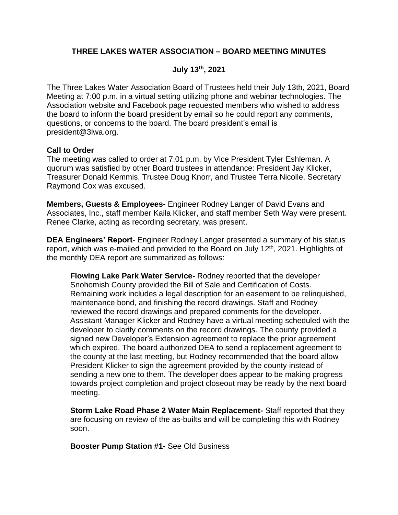# **THREE LAKES WATER ASSOCIATION – BOARD MEETING MINUTES**

# **July 13th, 2021**

The Three Lakes Water Association Board of Trustees held their July 13th, 2021, Board Meeting at 7:00 p.m. in a virtual setting utilizing phone and webinar technologies. The Association website and Facebook page requested members who wished to address the board to inform the board president by email so he could report any comments, questions, or concerns to the board. The board president's email is president@3lwa.org.

# **Call to Order**

The meeting was called to order at 7:01 p.m. by Vice President Tyler Eshleman. A quorum was satisfied by other Board trustees in attendance: President Jay Klicker, Treasurer Donald Kemmis, Trustee Doug Knorr, and Trustee Terra Nicolle. Secretary Raymond Cox was excused.

**Members, Guests & Employees-** Engineer Rodney Langer of David Evans and Associates, Inc., staff member Kaila Klicker, and staff member Seth Way were present. Renee Clarke, acting as recording secretary, was present.

**DEA Engineers' Report**- Engineer Rodney Langer presented a summary of his status report, which was e-mailed and provided to the Board on July  $12<sup>th</sup>$ , 2021. Highlights of the monthly DEA report are summarized as follows:

**Flowing Lake Park Water Service-** Rodney reported that the developer Snohomish County provided the Bill of Sale and Certification of Costs. Remaining work includes a legal description for an easement to be relinquished, maintenance bond, and finishing the record drawings. Staff and Rodney reviewed the record drawings and prepared comments for the developer. Assistant Manager Klicker and Rodney have a virtual meeting scheduled with the developer to clarify comments on the record drawings. The county provided a signed new Developer's Extension agreement to replace the prior agreement which expired. The board authorized DEA to send a replacement agreement to the county at the last meeting, but Rodney recommended that the board allow President Klicker to sign the agreement provided by the county instead of sending a new one to them. The developer does appear to be making progress towards project completion and project closeout may be ready by the next board meeting.

**Storm Lake Road Phase 2 Water Main Replacement-** Staff reported that they are focusing on review of the as-builts and will be completing this with Rodney soon.

**Booster Pump Station #1-** See Old Business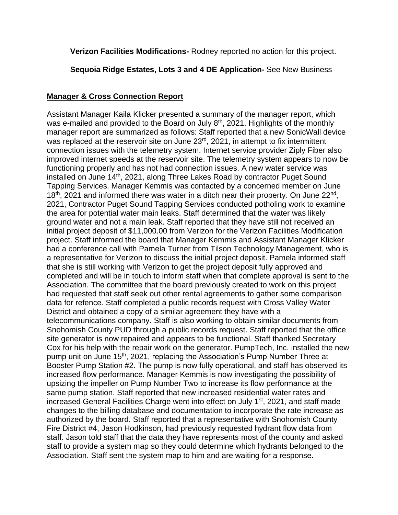**Verizon Facilities Modifications-** Rodney reported no action for this project.

# **Sequoia Ridge Estates, Lots 3 and 4 DE Application-** See New Business

# **Manager & Cross Connection Report**

Assistant Manager Kaila Klicker presented a summary of the manager report, which was e-mailed and provided to the Board on July 8<sup>th</sup>, 2021. Highlights of the monthly manager report are summarized as follows: Staff reported that a new SonicWall device was replaced at the reservoir site on June 23<sup>rd</sup>, 2021, in attempt to fix intermittent connection issues with the telemetry system. Internet service provider Ziply Fiber also improved internet speeds at the reservoir site. The telemetry system appears to now be functioning properly and has not had connection issues. A new water service was installed on June 14<sup>th</sup>, 2021, along Three Lakes Road by contractor Puget Sound Tapping Services. Manager Kemmis was contacted by a concerned member on June  $18<sup>th</sup>$ , 2021 and informed there was water in a ditch near their property. On June  $22<sup>nd</sup>$ , 2021, Contractor Puget Sound Tapping Services conducted potholing work to examine the area for potential water main leaks. Staff determined that the water was likely ground water and not a main leak. Staff reported that they have still not received an initial project deposit of \$11,000.00 from Verizon for the Verizon Facilities Modification project. Staff informed the board that Manager Kemmis and Assistant Manager Klicker had a conference call with Pamela Turner from Tilson Technology Management, who is a representative for Verizon to discuss the initial project deposit. Pamela informed staff that she is still working with Verizon to get the project deposit fully approved and completed and will be in touch to inform staff when that complete approval is sent to the Association. The committee that the board previously created to work on this project had requested that staff seek out other rental agreements to gather some comparison data for refence. Staff completed a public records request with Cross Valley Water District and obtained a copy of a similar agreement they have with a telecommunications company. Staff is also working to obtain similar documents from Snohomish County PUD through a public records request. Staff reported that the office site generator is now repaired and appears to be functional. Staff thanked Secretary Cox for his help with the repair work on the generator. PumpTech, Inc. installed the new pump unit on June 15<sup>th</sup>, 2021, replacing the Association's Pump Number Three at Booster Pump Station #2. The pump is now fully operational, and staff has observed its increased flow performance. Manager Kemmis is now investigating the possibility of upsizing the impeller on Pump Number Two to increase its flow performance at the same pump station. Staff reported that new increased residential water rates and increased General Facilities Charge went into effect on July 1<sup>st</sup>, 2021, and staff made changes to the billing database and documentation to incorporate the rate increase as authorized by the board. Staff reported that a representative with Snohomish County Fire District #4, Jason Hodkinson, had previously requested hydrant flow data from staff. Jason told staff that the data they have represents most of the county and asked staff to provide a system map so they could determine which hydrants belonged to the Association. Staff sent the system map to him and are waiting for a response.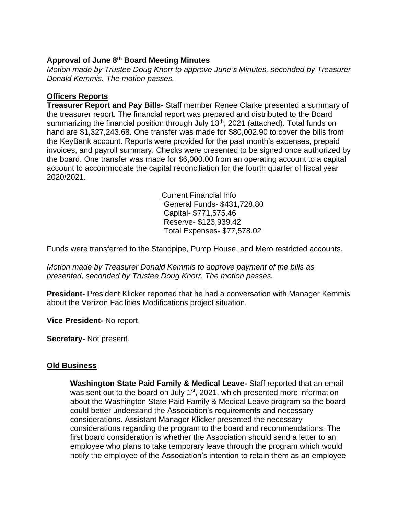# **Approval of June 8 th Board Meeting Minutes**

*Motion made by Trustee Doug Knorr to approve June's Minutes, seconded by Treasurer Donald Kemmis. The motion passes.*

# **Officers Reports**

**Treasurer Report and Pay Bills-** Staff member Renee Clarke presented a summary of the treasurer report. The financial report was prepared and distributed to the Board summarizing the financial position through July 13<sup>th</sup>, 2021 (attached). Total funds on hand are \$1,327,243.68. One transfer was made for \$80,002.90 to cover the bills from the KeyBank account. Reports were provided for the past month's expenses, prepaid invoices, and payroll summary. Checks were presented to be signed once authorized by the board. One transfer was made for \$6,000.00 from an operating account to a capital account to accommodate the capital reconciliation for the fourth quarter of fiscal year 2020/2021.

> Current Financial Info General Funds- \$431,728.80 Capital- \$771,575.46 Reserve- \$123,939.42 Total Expenses- \$77,578.02

Funds were transferred to the Standpipe, Pump House, and Mero restricted accounts.

*Motion made by Treasurer Donald Kemmis to approve payment of the bills as presented, seconded by Trustee Doug Knorr. The motion passes.*

**President-** President Klicker reported that he had a conversation with Manager Kemmis about the Verizon Facilities Modifications project situation.

**Vice President-** No report.

**Secretary-** Not present.

# **Old Business**

**Washington State Paid Family & Medical Leave-** Staff reported that an email was sent out to the board on July 1<sup>st</sup>, 2021, which presented more information about the Washington State Paid Family & Medical Leave program so the board could better understand the Association's requirements and necessary considerations. Assistant Manager Klicker presented the necessary considerations regarding the program to the board and recommendations. The first board consideration is whether the Association should send a letter to an employee who plans to take temporary leave through the program which would notify the employee of the Association's intention to retain them as an employee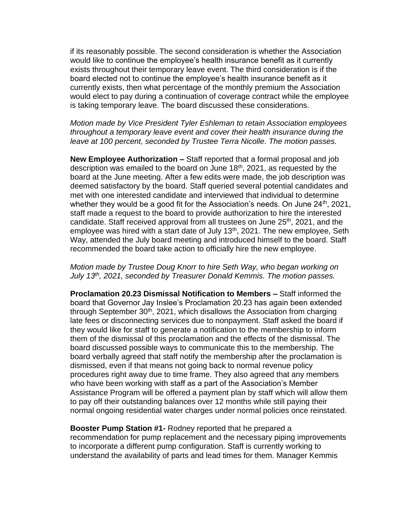if its reasonably possible. The second consideration is whether the Association would like to continue the employee's health insurance benefit as it currently exists throughout their temporary leave event. The third consideration is if the board elected not to continue the employee's health insurance benefit as it currently exists, then what percentage of the monthly premium the Association would elect to pay during a continuation of coverage contract while the employee is taking temporary leave. The board discussed these considerations.

*Motion made by Vice President Tyler Eshleman to retain Association employees throughout a temporary leave event and cover their health insurance during the leave at 100 percent, seconded by Trustee Terra Nicolle. The motion passes.*

**New Employee Authorization –** Staff reported that a formal proposal and job description was emailed to the board on June 18<sup>th</sup>, 2021, as requested by the board at the June meeting. After a few edits were made, the job description was deemed satisfactory by the board. Staff queried several potential candidates and met with one interested candidate and interviewed that individual to determine whether they would be a good fit for the Association's needs. On June  $24<sup>th</sup>$ , 2021, staff made a request to the board to provide authorization to hire the interested candidate. Staff received approval from all trustees on June 25<sup>th</sup>, 2021, and the employee was hired with a start date of July  $13<sup>th</sup>$ , 2021. The new employee, Seth Way, attended the July board meeting and introduced himself to the board. Staff recommended the board take action to officially hire the new employee.

*Motion made by Trustee Doug Knorr to hire Seth Way, who began working on July 13th, 2021, seconded by Treasurer Donald Kemmis. The motion passes.*

**Proclamation 20.23 Dismissal Notification to Members –** Staff informed the board that Governor Jay Inslee's Proclamation 20.23 has again been extended through September  $30<sup>th</sup>$ , 2021, which disallows the Association from charging late fees or disconnecting services due to nonpayment. Staff asked the board if they would like for staff to generate a notification to the membership to inform them of the dismissal of this proclamation and the effects of the dismissal. The board discussed possible ways to communicate this to the membership. The board verbally agreed that staff notify the membership after the proclamation is dismissed, even if that means not going back to normal revenue policy procedures right away due to time frame. They also agreed that any members who have been working with staff as a part of the Association's Member Assistance Program will be offered a payment plan by staff which will allow them to pay off their outstanding balances over 12 months while still paying their normal ongoing residential water charges under normal policies once reinstated.

**Booster Pump Station #1-** Rodney reported that he prepared a recommendation for pump replacement and the necessary piping improvements to incorporate a different pump configuration. Staff is currently working to understand the availability of parts and lead times for them. Manager Kemmis